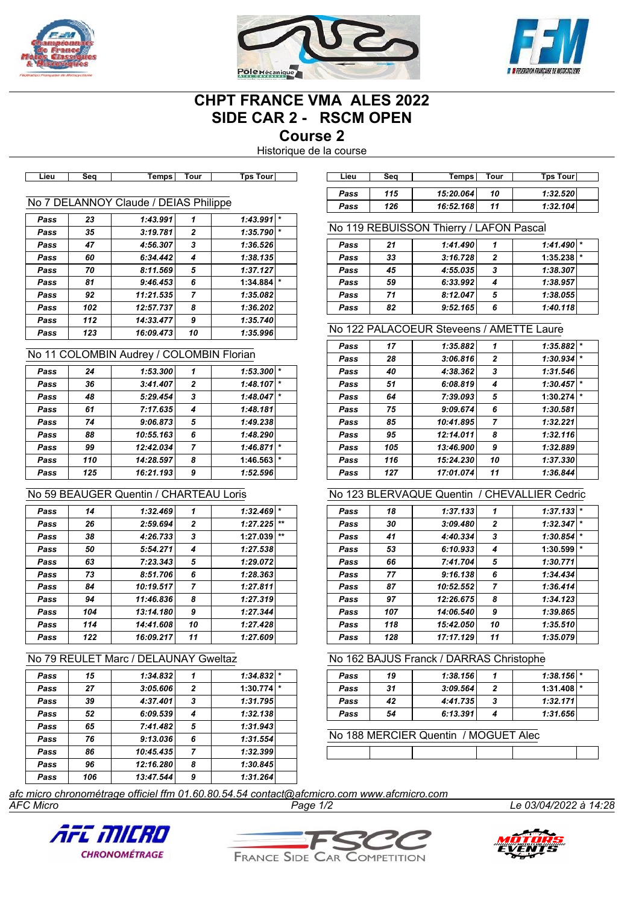





# **CHPT FRANCE VMA ALES 2022 SIDE CAR 2 - RSCM OPEN**

**Course 2**

Historique de la course

| ∟ieu | əeu | <b>Terrips</b> I                      | ı our | IPS TOUT     |
|------|-----|---------------------------------------|-------|--------------|
|      |     |                                       |       |              |
|      |     | No 7 DELANNOY Claude / DEIAS Philippe |       |              |
| Pass | 23  | 1:43.991                              |       | $1:43.991$ * |
| Pass | 35  | 3:19.781                              | 2     | 1:35.790     |
| Pass | 47  | 4:56.307                              | 3     | 1:36.526     |
| Pass | 60  | 6:34.442                              | 4     | 1:38.135     |
| Pass | 70  | 8:11.569                              | 5     | 1:37.127     |

#### *Pass 81 9:46.453 6* **1:34.884** *\* Pass 92 11:21.535 7 1:35.082 Pass 102 12:57.737 8 1:36.202 Pass 112 14:33.477 9 1:35.740 Pass 123 16:09.473 10 1:35.996*

#### No 11 COLOMBIN Audrey / COLOMBIN Florian

| Pass | 24  | 1:53.300  | 1              | 1:53.300 |         |
|------|-----|-----------|----------------|----------|---------|
| Pass | 36  | 3:41.407  | $\overline{2}$ | 1:48.107 | $\star$ |
| Pass | 48  | 5:29.454  | 3              | 1:48.047 |         |
| Pass | 61  | 7:17.635  | 4              | 1:48.181 |         |
| Pass | 74  | 9:06.873  | 5              | 1:49.238 |         |
| Pass | 88  | 10:55.163 | 6              | 1:48.290 |         |
| Pass | 99  | 12:42.034 | 7              | 1:46.871 |         |
| Pass | 110 | 14:28.597 | 8              | 1:46.563 |         |
| Pass | 125 | 16:21.193 | 9              | 1:52.596 |         |
|      |     |           |                |          |         |

## No 59 BEAUGER Quentin / CHARTEAU Loris

| Pass | 14  | 1:32.469  | 1              | 1:32.469 | $\star$ |
|------|-----|-----------|----------------|----------|---------|
| Pass | 26  | 2:59.694  | $\mathbf{2}$   | 1:27.225 | $***$   |
| Pass | 38  | 4:26.733  | 3              | 1:27.039 | $***$   |
| Pass | 50  | 5:54.271  | 4              | 1:27.538 |         |
| Pass | 63  | 7:23.343  | 5              | 1:29.072 |         |
| Pass | 73  | 8:51.706  | 6              | 1:28.363 |         |
| Pass | 84  | 10:19.517 | $\overline{7}$ | 1:27.811 |         |
| Pass | 94  | 11:46.836 | 8              | 1:27.319 |         |
| Pass | 104 | 13:14.180 | 9              | 1:27.344 |         |
| Pass | 114 | 14:41.608 | 10             | 1:27.428 |         |
| Pass | 122 | 16:09.217 | 11             | 1:27.609 |         |

### No 79 REULET Marc / DELAUNAY Gweltaz

| Pass | 15  | 1:34.832  |              | 1:34.832 |
|------|-----|-----------|--------------|----------|
| Pass | 27  | 3:05.606  | $\mathbf{z}$ | 1:30.774 |
| Pass | 39  | 4:37.401  | 3            | 1:31.795 |
| Pass | 52  | 6:09.539  | 4            | 1:32.138 |
| Pass | 65  | 7:41.482  | 5            | 1:31.943 |
| Pass | 76  | 9:13.036  | 6            | 1:31.554 |
| Pass | 86  | 10:45.435 | 7            | 1:32.399 |
| Pass | 96  | 12:16.280 | 8            | 1:30.845 |
| Pass | 106 | 13:47.544 | 9            | 1:31.264 |

| Lieu  | Sea | Temps⊺        | Tour           | <b>Tps Tourl</b> | Lieu | Seg | Temps     | Tour           | <b>Tps Tour</b> |  |
|-------|-----|---------------|----------------|------------------|------|-----|-----------|----------------|-----------------|--|
|       |     |               |                |                  | Pass | 115 | 15:20.064 | 10             | 1:32.520        |  |
| 7 DEL |     | ANNOY Claude. | DEIAS Philippe |                  | Pass | 126 | 16:52.168 | $\overline{A}$ | 1:32.104        |  |

#### No 119 REBUISSON Thierry / LAFON Pascal

| Pass | 21 | 1:41.490 |   | $1:41.490$ *   |
|------|----|----------|---|----------------|
| Pass | 33 | 3:16.728 | 2 | $1:35.238$ $*$ |
| Pass | 45 | 4:55.035 | 3 | 1:38.307       |
| Pass | 59 | 6:33.992 |   | 1:38.957       |
| Pass | 71 | 8:12.047 | 5 | 1:38.055       |
| Pass | 82 | 9:52.165 | 6 | 1:40.118       |

#### No 122 PALACOEUR Steveens / AMETTE Laure

| Pass | 17  | 1:35.882  | 1              | 1:35.882            |
|------|-----|-----------|----------------|---------------------|
| Pass | 28  | 3:06.816  | $\mathbf{2}$   | $\star$<br>1:30.934 |
| Pass | 40  | 4:38.362  | 3              | 1:31.546            |
| Pass | 51  | 6:08.819  | 4              | $\star$<br>1:30.457 |
| Pass | 64  | 7:39.093  | 5              | 1:30.274<br>$\star$ |
| Pass | 75  | 9:09.674  | 6              | 1:30.581            |
| Pass | 85  | 10:41.895 | $\overline{7}$ | 1:32.221            |
| Pass | 95  | 12:14.011 | 8              | 1:32.116            |
| Pass | 105 | 13:46.900 | 9              | 1:32.889            |
| Pass | 116 | 15:24.230 | 10             | 1:37.330            |
| Pass | 127 | 17:01.074 | 11             | 1:36.844            |

#### No 123 BLERVAQUE Quentin / CHEVALLIER Cedric

| Pass | 18  | 1:37.133  | 1            | 1:37.133 | $\star$ |
|------|-----|-----------|--------------|----------|---------|
| Pass | 30  | 3:09.480  | $\mathbf{2}$ | 1:32.347 | $\star$ |
| Pass | 41  | 4:40.334  | 3            | 1:30.854 | $\star$ |
| Pass | 53  | 6:10.933  | 4            | 1:30.599 | $\star$ |
| Pass | 66  | 7:41.704  | 5            | 1:30.771 |         |
| Pass | 77  | 9:16.138  | 6            | 1:34.434 |         |
| Pass | 87  | 10:52.552 | 7            | 1:36.414 |         |
| Pass | 97  | 12:26.675 | 8            | 1:34.123 |         |
| Pass | 107 | 14:06.540 | 9            | 1:39.865 |         |
| Pass | 118 | 15:42.050 | 10           | 1:35.510 |         |
| Pass | 128 | 17:17.129 | 11           | 1:35.079 |         |

#### No 162 BAJUS Franck / DARRAS Christophe

| Pass | 19 | 1:38.156 |   | $1:38.156$ *   |  |
|------|----|----------|---|----------------|--|
| Pass | 31 | 3:09.564 |   | $1:31.408$ $*$ |  |
| Pass | 42 | 4:41.735 | 3 | 1:32.171       |  |
| Pass | 54 | 6:13.391 |   | 1:31.656       |  |

No 188 MERCIER Quentin / MOGUET Alec

*AFC Micro Page 1/2 Le 03/04/2022 à 14:28 afc micro chronométrage officiel ffm 01.60.80.54.54 contact@afcmicro.com www.afcmicro.com*